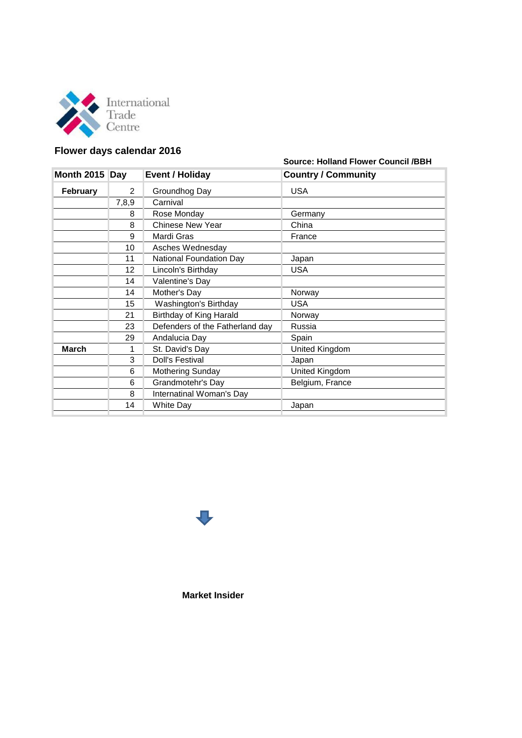

## **Flower days calendar 2016**

## **Source: Holland Flower Council /BBH**

| Month 2015 Day  |       | <b>Event / Holiday</b>          | <b>Country / Community</b> |
|-----------------|-------|---------------------------------|----------------------------|
| <b>February</b> | 2     | Groundhog Day                   | <b>USA</b>                 |
|                 | 7,8,9 | Carnival                        |                            |
|                 | 8     | Rose Monday                     | Germany                    |
|                 | 8     | <b>Chinese New Year</b>         | China                      |
|                 | 9     | Mardi Gras                      | France                     |
|                 | 10    | Asches Wednesday                |                            |
|                 | 11    | National Foundation Day         | Japan                      |
|                 | 12    | Lincoln's Birthday              | <b>USA</b>                 |
|                 | 14    | Valentine's Day                 |                            |
|                 | 14    | Mother's Day                    | Norway                     |
|                 | 15    | Washington's Birthday           | USA                        |
|                 | 21    | Birthday of King Harald         | Norway                     |
|                 | 23    | Defenders of the Fatherland day | Russia                     |
|                 | 29    | Andalucia Day                   | Spain                      |
| <b>March</b>    | 1     | St. David's Day                 | United Kingdom             |
|                 | 3     | <b>Doll's Festival</b>          | Japan                      |
|                 | 6     | <b>Mothering Sunday</b>         | United Kingdom             |
|                 | 6     | Grandmotehr's Day               | Belgium, France            |
|                 | 8     | Internatinal Woman's Day        |                            |
|                 | 14    | <b>White Day</b>                | Japan                      |



**Market Insider**